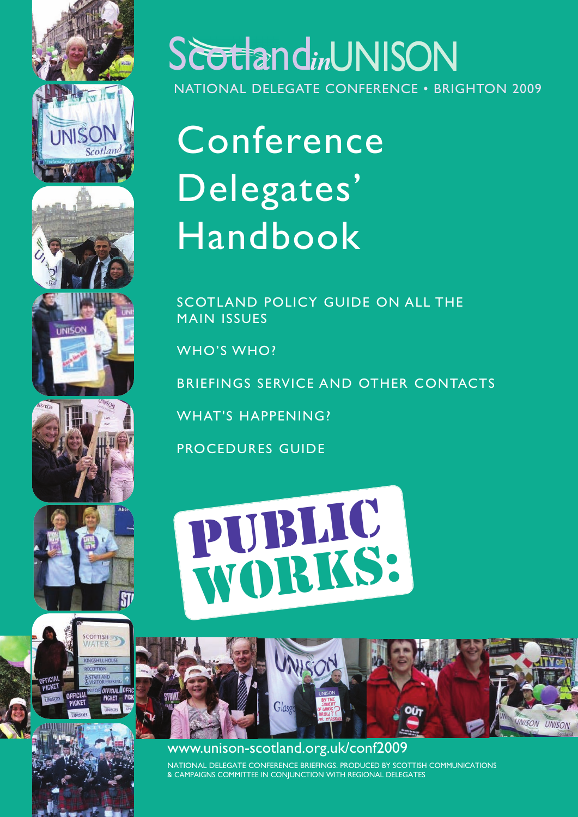













# Scotland*in*UNISON

NATIONAL DELEGATE CONFERENCE • BRIGHTON 2009

# Conference Delegates' **Handbook**

SCOTLAND POLICY GUIDE ON ALL THE MAIN ISSUES

WHO'S WHO?

BRIEFINGS SERVICE AND OTHER CONTACTS

WHAT'S HAPPENING?

PROCEDURES GUIDE





## www.unison-scotland.org.uk/conf2009

NATIONAL DELEGATE CONFERENCE BRIEFINGS. PRODUCED BY SCOTTISH COMMUNICATIONS & CAMPAIGNS COMMITTEE IN CONJUNCTION WITH REGIONAL DELEGATES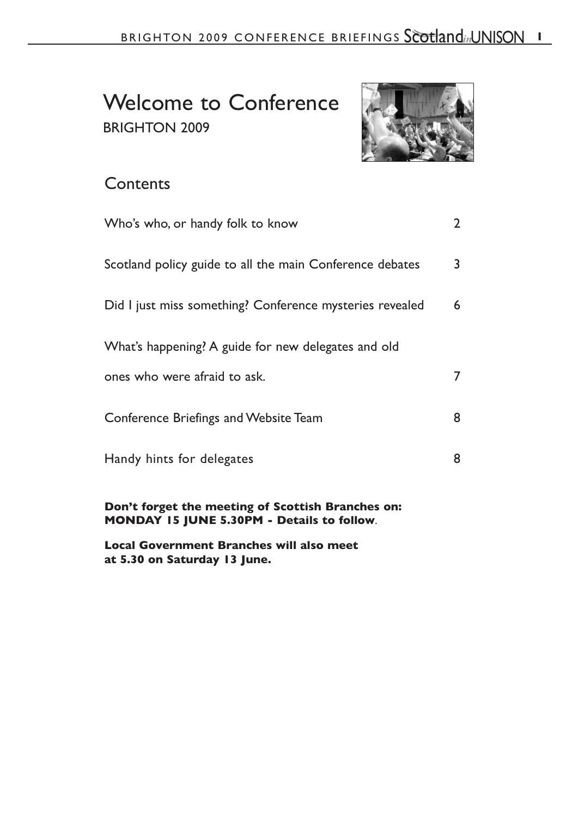## Welcome to Conference BRIGHTON 2009



## **Contents**

| Who's who, or handy folk to know                         | $\overline{2}$ |
|----------------------------------------------------------|----------------|
| Scotland policy guide to all the main Conference debates | 3              |
| Did I just miss something? Conference mysteries revealed | 6              |
| What's happening? A guide for new delegates and old      |                |
| ones who were afraid to ask.                             | 7              |
| Conference Briefings and Website Team                    | 8              |
| Handy hints for delegates                                | 8              |
|                                                          |                |

**Don't forget the meeting of Scottish Branches on: MONDAY 15 JUNE 5.30PM - Details to follow**.

**Local Government Branches will also meet at 5.30 on Saturday 13 June.**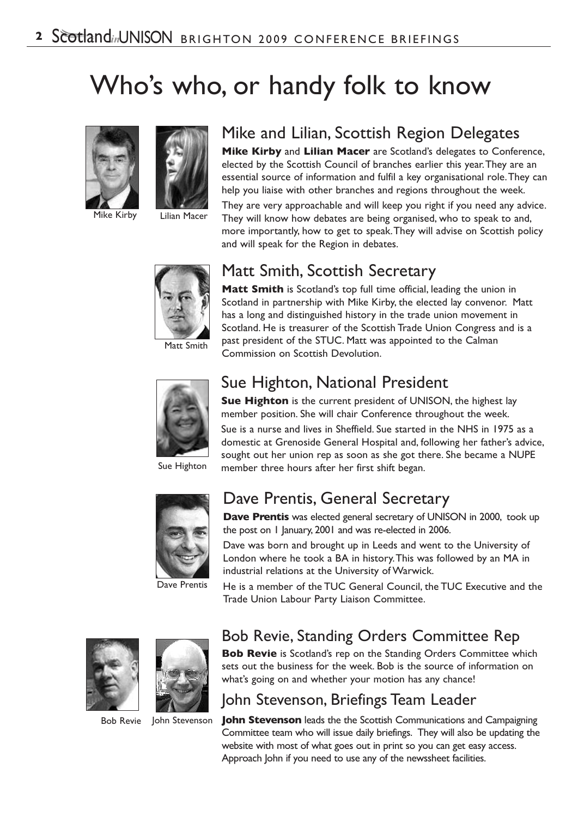# Who's who, or handy folk to know





## Mike and Lilian, Scottish Region Delegates

**Mike Kirby** and **Lilian Macer** are Scotland's delegates to Conference, elected by the Scottish Council of branches earlier this year.They are an essential source of information and fulfil a key organisational role.They can help you liaise with other branches and regions throughout the week.

They are very approachable and will keep you right if you need any advice. They will know how debates are being organised, who to speak to and, more importantly, how to get to speak.They will advise on Scottish policy and will speak for the Region in debates.



## Matt Smith, Scottish Secretary

**Matt Smith** is Scotland's top full time official, leading the union in Scotland in partnership with Mike Kirby, the elected lay convenor. Matt has a long and distinguished history in the trade union movement in Scotland. He is treasurer of the Scottish Trade Union Congress and is a past president of the STUC. Matt was appointed to the Calman Commission on Scottish Devolution.



## Sue Highton, National President

**Sue Highton** is the current president of UNISON, the highest lay member position. She will chair Conference throughout the week.

Sue is a nurse and lives in Sheffield. Sue started in the NHS in 1975 as a domestic at Grenoside General Hospital and, following her father's advice, sought out her union rep as soon as she got there. She became a NUPE member three hours after her first shift began.

Sue Highton



## Dave Prentis, General Secretary

**Dave Prentis** was elected general secretary of UNISON in 2000, took up the post on 1 January, 2001 and was re-elected in 2006.

Dave was born and brought up in Leeds and went to the University of London where he took a BA in history.This was followed by an MA in industrial relations at the University of Warwick.

Dave Prentis

He is a member of the TUC General Council, the TUC Executive and the Trade Union Labour Party Liaison Committee.



Bob Revie John Stevenson

## Bob Revie, Standing Orders Committee Rep

**Bob Revie** is Scotland's rep on the Standing Orders Committee which sets out the business for the week. Bob is the source of information on what's going on and whether your motion has any chance!

### John Stevenson, Briefings Team Leader

**John Stevenson** leads the the Scottish Communications and Campaigning Committee team who will issue daily briefings. They will also be updating the website with most of what goes out in print so you can get easy access. Approach John if you need to use any of the newssheet facilities.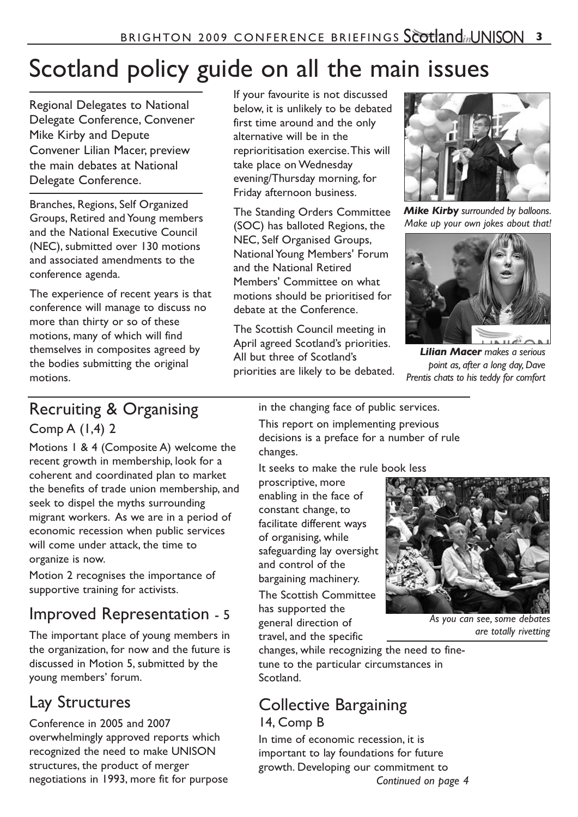# Scotland policy guide on all the main issues

Regional Delegates to National Delegate Conference, Convener Mike Kirby and Depute Convener Lilian Macer, preview the main debates at National Delegate Conference.

Branches, Regions, Self Organized Groups, Retired and Young members and the National Executive Council (NEC), submitted over 130 motions and associated amendments to the conference agenda.

The experience of recent years is that conference will manage to discuss no more than thirty or so of these motions, many of which will find themselves in composites agreed by the bodies submitting the original motions.

If your favourite is not discussed below, it is unlikely to be debated first time around and the only alternative will be in the reprioritisation exercise.This will take place on Wednesday evening/Thursday morning, for Friday afternoon business.

The Standing Orders Committee (SOC) has balloted Regions, the NEC, Self Organised Groups, National Young Members' Forum and the National Retired Members' Committee on what motions should be prioritised for debate at the Conference.

The Scottish Council meeting in April agreed Scotland's priorities. All but three of Scotland's priorities are likely to be debated.



*Mike Kirby surrounded by balloons. Make up your own jokes about that!*



*Lilian Macer makes a serious point as, after a long day, Dave Prentis chats to his teddy for comfort*

## Recruiting & Organising

Comp A (1,4) 2

Motions 1 & 4 (Composite A) welcome the recent growth in membership, look for a coherent and coordinated plan to market the benefits of trade union membership, and seek to dispel the myths surrounding migrant workers. As we are in a period of economic recession when public services will come under attack, the time to organize is now.

Motion 2 recognises the importance of supportive training for activists.

## Improved Representation - 5

The important place of young members in the organization, for now and the future is discussed in Motion 5, submitted by the young members' forum.

## Lay Structures

Conference in 2005 and 2007 overwhelmingly approved reports which recognized the need to make UNISON structures, the product of merger negotiations in 1993, more fit for purpose in the changing face of public services. This report on implementing previous decisions is a preface for a number of rule changes.

It seeks to make the rule book less

proscriptive, more enabling in the face of constant change, to facilitate different ways of organising, while safeguarding lay oversight and control of the bargaining machinery. The Scottish Committee has supported the general direction of travel, and the specific



*As you can see, some debates are totally rivetting*

changes, while recognizing the need to finetune to the particular circumstances in Scotland.

#### Collective Bargaining 14, Comp B

In time of economic recession, it is important to lay foundations for future growth. Developing our commitment to *Continued on page 4*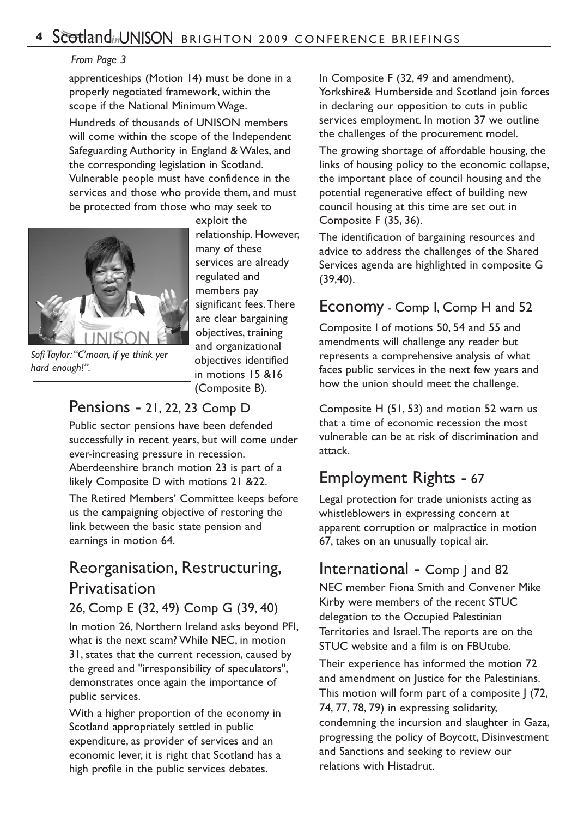#### *From Page 3*

apprenticeships (Motion 14) must be done in a properly negotiated framework, within the scope if the National Minimum Wage.

Hundreds of thousands of UNISON members will come within the scope of the Independent Safeguarding Authority in England & Wales, and the corresponding legislation in Scotland. Vulnerable people must have confidence in the services and those who provide them, and must be protected from those who may seek to



*hard enough!".*

exploit the relationship. However, many of these services are already regulated and members pay significant fees.There are clear bargaining objectives, training and organizational objectives identified in motions 15 &16 (Composite B).

#### Pensions - 21, 22, 23 Comp D

Public sector pensions have been defended successfully in recent years, but will come under ever-increasing pressure in recession. Aberdeenshire branch motion 23 is part of a likely Composite D with motions 21 &22.

The Retired Members' Committee keeps before us the campaigning objective of restoring the link between the basic state pension and earnings in motion 64.

## Reorganisation, Restructuring, Privatisation

#### 26, Comp E (32, 49) Comp G (39, 40)

In motion 26, Northern Ireland asks beyond PFI, what is the next scam? While NEC, in motion 31, states that the current recession, caused by the greed and "irresponsibility of speculators", demonstrates once again the importance of public services.

With a higher proportion of the economy in Scotland appropriately settled in public expenditure, as provider of services and an economic lever, it is right that Scotland has a high profile in the public services debates.

In Composite F (32, 49 and amendment), Yorkshire& Humberside and Scotland join forces in declaring our opposition to cuts in public services employment. In motion 37 we outline the challenges of the procurement model.

The growing shortage of affordable housing, the links of housing policy to the economic collapse, the important place of council housing and the potential regenerative effect of building new council housing at this time are set out in Composite F (35, 36).

The identification of bargaining resources and advice to address the challenges of the Shared Services agenda are highlighted in composite G (39,40).

#### Economy - Comp I, Comp H and 52

Composite I of motions 50, 54 and 55 and amendments will challenge any reader but represents a comprehensive analysis of what faces public services in the next few years and how the union should meet the challenge.

Composite H (51, 53) and motion 52 warn us that a time of economic recession the most vulnerable can be at risk of discrimination and attack.

## Employment Rights - 67

Legal protection for trade unionists acting as whistleblowers in expressing concern at apparent corruption or malpractice in motion 67, takes on an unusually topical air.

### International - Comp J and 82

NEC member Fiona Smith and Convener Mike Kirby were members of the recent STUC delegation to the Occupied Palestinian Territories and Israel.The reports are on the STUC website and a film is on FBUtube.

Their experience has informed the motion 72 and amendment on Justice for the Palestinians. This motion will form part of a composite | (72, 74, 77, 78, 79) in expressing solidarity, condemning the incursion and slaughter in Gaza, progressing the policy of Boycott, Disinvestment and Sanctions and seeking to review our relations with Histadrut.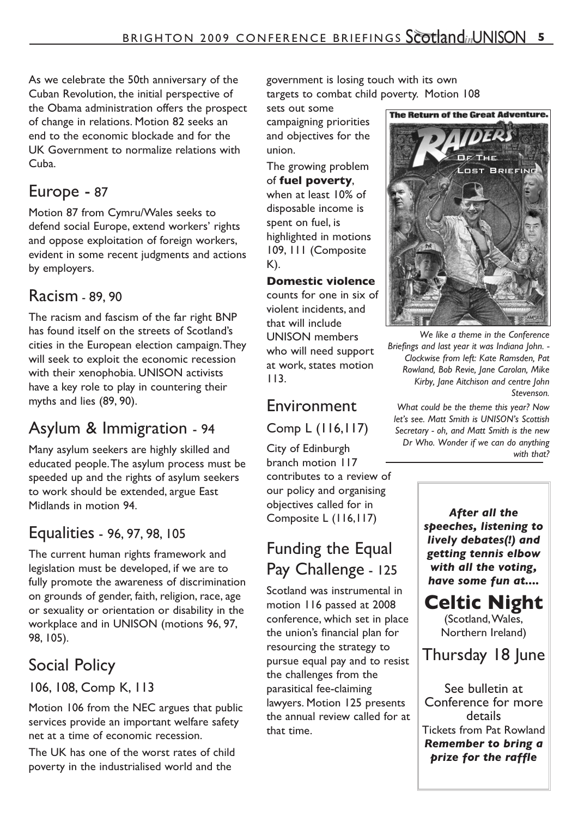As we celebrate the 50th anniversary of the Cuban Revolution, the initial perspective of the Obama administration offers the prospect of change in relations. Motion 82 seeks an end to the economic blockade and for the UK Government to normalize relations with Cuba.

## Europe - 87

Motion 87 from Cymru/Wales seeks to defend social Europe, extend workers' rights and oppose exploitation of foreign workers, evident in some recent judgments and actions by employers.

## Racism - 89, 90

The racism and fascism of the far right BNP has found itself on the streets of Scotland's cities in the European election campaign.They will seek to exploit the economic recession with their xenophobia. UNISON activists have a key role to play in countering their myths and lies (89, 90).

## Asylum & Immigration - 94

Many asylum seekers are highly skilled and educated people.The asylum process must be speeded up and the rights of asylum seekers to work should be extended, argue East Midlands in motion 94.

## Equalities - 96, 97, 98, 105

The current human rights framework and legislation must be developed, if we are to fully promote the awareness of discrimination on grounds of gender, faith, religion, race, age or sexuality or orientation or disability in the workplace and in UNISON (motions 96, 97, 98, 105).

## Social Policy

#### 106, 108, Comp K, 113

Motion 106 from the NEC argues that public services provide an important welfare safety net at a time of economic recession.

The UK has one of the worst rates of child poverty in the industrialised world and the

government is losing touch with its own targets to combat child poverty. Motion 108

sets out some campaigning priorities and objectives for the union.

The growing problem of **fuel poverty**, when at least 10% of disposable income is spent on fuel, is highlighted in motions 109, 111 (Composite K).

#### **Domestic violence**

counts for one in six of violent incidents, and that will include UNISON members who will need support at work, states motion 113.

## Environment

Comp L (116,117)

City of Edinburgh branch motion 117 contributes to a review of our policy and organising objectives called for in Composite L (116,117)

## Funding the Equal Pay Challenge - 125

Scotland was instrumental in motion 116 passed at 2008 conference, which set in place the union's financial plan for resourcing the strategy to pursue equal pay and to resist the challenges from the parasitical fee-claiming lawyers. Motion 125 presents the annual review called for at that time.



*We like a theme in the Conference Briefings and last year it was Indiana John. - Clockwise from left: Kate Ramsden, Pat Rowland, Bob Revie, Jane Carolan, Mike Kirby, Jane Aitchison and centre John Stevenson.*

*What could be the theme this year? Now let's see. Matt Smith is UNISON's Scottish Secretary - oh, and Matt Smith is the new Dr Who. Wonder if we can do anything with that?*

> *After all the speeches, listening to lively debates(!) and getting tennis elbow with all the voting, have some fun at....*

## **Celtic Night**

(Scotland,Wales, Northern Ireland)

## Thursday 18 June

See bulletin at Conference for more details Tickets from Pat Rowland *Remember to bring a prize for the raffle*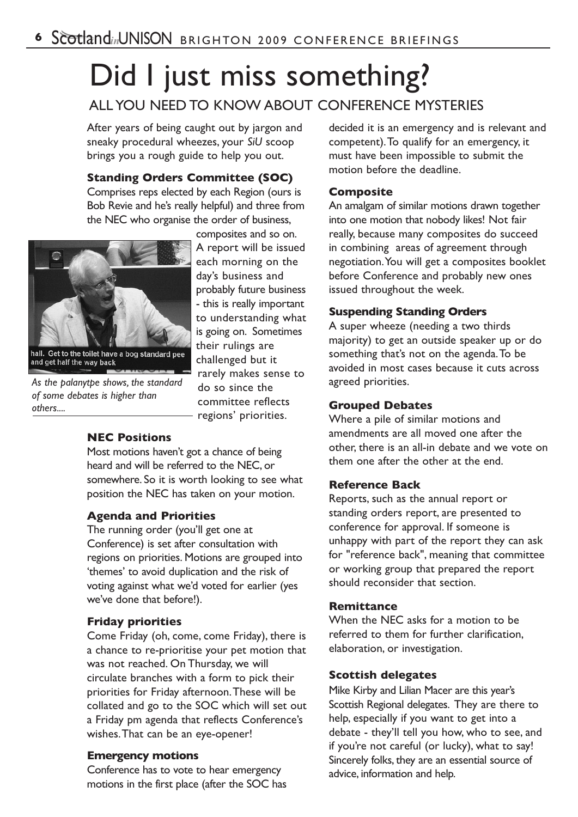# Did I just miss something? ALL YOU NEED TO KNOW ABOUT CONFERENCE MYSTERIES

After years of being caught out by jargon and sneaky procedural wheezes, your *SiU* scoop brings you a rough guide to help you out.

#### **Standing Orders Committee (SOC)**

Comprises reps elected by each Region (ours is Bob Revie and he's really helpful) and three from the NEC who organise the order of business,



*As the palanytpe shows, the standard of some debates is higher than others....*

#### composites and so on. A report will be issued each morning on the day's business and probably future business - this is really important to understanding what is going on. Sometimes their rulings are challenged but it rarely makes sense to do so since the committee reflects regions' priorities.

#### **NEC Positions**

Most motions haven't got a chance of being heard and will be referred to the NEC, or somewhere. So it is worth looking to see what position the NEC has taken on your motion.

#### **Agenda and Priorities**

The running order (you'll get one at Conference) is set after consultation with regions on priorities. Motions are grouped into 'themes' to avoid duplication and the risk of voting against what we'd voted for earlier (yes we've done that before!).

#### **Friday priorities**

Come Friday (oh, come, come Friday), there is a chance to re-prioritise your pet motion that was not reached. On Thursday, we will circulate branches with a form to pick their priorities for Friday afternoon.These will be collated and go to the SOC which will set out a Friday pm agenda that reflects Conference's wishes.That can be an eye-opener!

#### **Emergency motions**

Conference has to vote to hear emergency motions in the first place (after the SOC has

decided it is an emergency and is relevant and competent).To qualify for an emergency, it must have been impossible to submit the motion before the deadline.

#### **Composite**

An amalgam of similar motions drawn together into one motion that nobody likes! Not fair really, because many composites do succeed in combining areas of agreement through negotiation.You will get a composites booklet before Conference and probably new ones issued throughout the week.

#### **Suspending Standing Orders**

A super wheeze (needing a two thirds majority) to get an outside speaker up or do something that's not on the agenda.To be avoided in most cases because it cuts across agreed priorities.

#### **Grouped Debates**

Where a pile of similar motions and amendments are all moved one after the other, there is an all-in debate and we vote on them one after the other at the end.

#### **Reference Back**

Reports, such as the annual report or standing orders report, are presented to conference for approval. If someone is unhappy with part of the report they can ask for "reference back", meaning that committee or working group that prepared the report should reconsider that section.

#### **Remittance**

When the NEC asks for a motion to be referred to them for further clarification, elaboration, or investigation.

#### **Scottish delegates**

Mike Kirby and Lilian Macer are this year's Scottish Regional delegates. They are there to help, especially if you want to get into a debate - they'll tell you how, who to see, and if you're not careful (or lucky), what to say! Sincerely folks, they are an essential source of advice, information and help.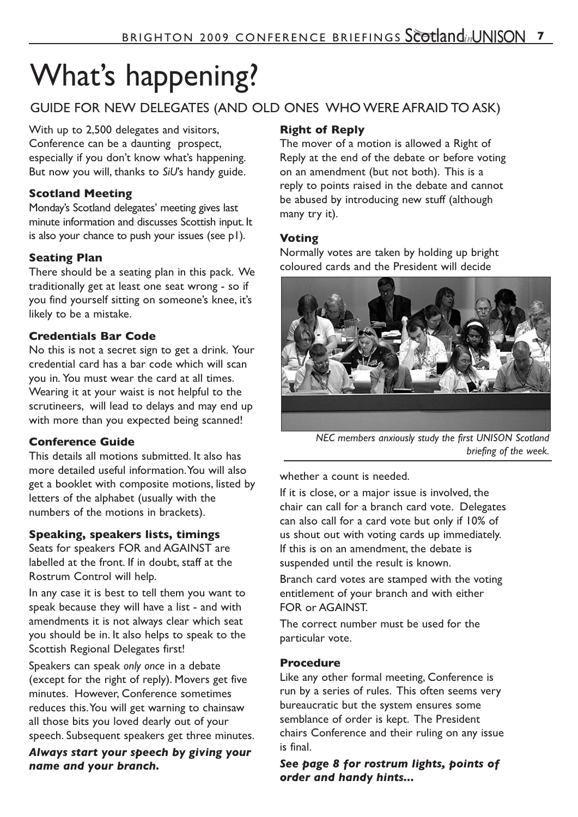# What's happening?

#### GUIDE FOR NEW DELEGATES (AND OLD ONES WHO WERE AFRAID TO ASK)

With up to 2,500 delegates and visitors, Conference can be a daunting prospect, especially if you don't know what's happening. But now you will, thanks to *SiU*'s handy guide.

#### **Scotland Meeting**

Monday's Scotland delegates' meeting gives last minute information and discusses Scottish input. It is also your chance to push your issues (see p1).

#### **Seating Plan**

There should be a seating plan in this pack. We traditionally get at least one seat wrong - so if you find yourself sitting on someone's knee, it's likely to be a mistake.

#### **Credentials Bar Code**

No this is not a secret sign to get a drink. Your credential card has a bar code which will scan you in*.* You must wear the card at all times. Wearing it at your waist is not helpful to the scrutineers, will lead to delays and may end up with more than you expected being scanned!

#### **Conference Guide**

This details all motions submitted. It also has more detailed useful information.You will also get a booklet with composite motions, listed by letters of the alphabet (usually with the numbers of the motions in brackets).

#### **Speaking, speakers lists, timings**

Seats for speakers FOR and AGAINST are labelled at the front. If in doubt, staff at the Rostrum Control will help.

In any case it is best to tell them you want to speak because they will have a list - and with amendments it is not always clear which seat you should be in. It also helps to speak to the Scottish Regional Delegates first!

Speakers can speak *only once* in a debate (except for the right of reply). Movers get five minutes. However, Conference sometimes reduces this.You will get warning to chainsaw all those bits you loved dearly out of your speech. Subsequent speakers get three minutes.

*Always start your speech by giving your name and your branch.*

#### **Right of Reply**

The mover of a motion is allowed a Right of Reply at the end of the debate or before voting on an amendment (but not both). This is a reply to points raised in the debate and cannot be abused by introducing new stuff (although many try it).

#### **Voting**

Normally votes are taken by holding up bright coloured cards and the President will decide



*NEC members anxiously study the first UNISON Scotland briefing of the week.*

whether a count is needed.

If it is close, or a major issue is involved, the chair can call for a branch card vote. Delegates can also call for a card vote but only if 10% of us shout out with voting cards up immediately. If this is on an amendment, the debate is suspended until the result is known.

Branch card votes are stamped with the voting entitlement of your branch and with either FOR or AGAINST.

The correct number must be used for the particular vote.

#### **Procedure**

Like any other formal meeting, Conference is run by a series of rules. This often seems very bureaucratic but the system ensures some semblance of order is kept. The President chairs Conference and their ruling on any issue is final.

*See page 8 for rostrum lights, points of order and handy hints...*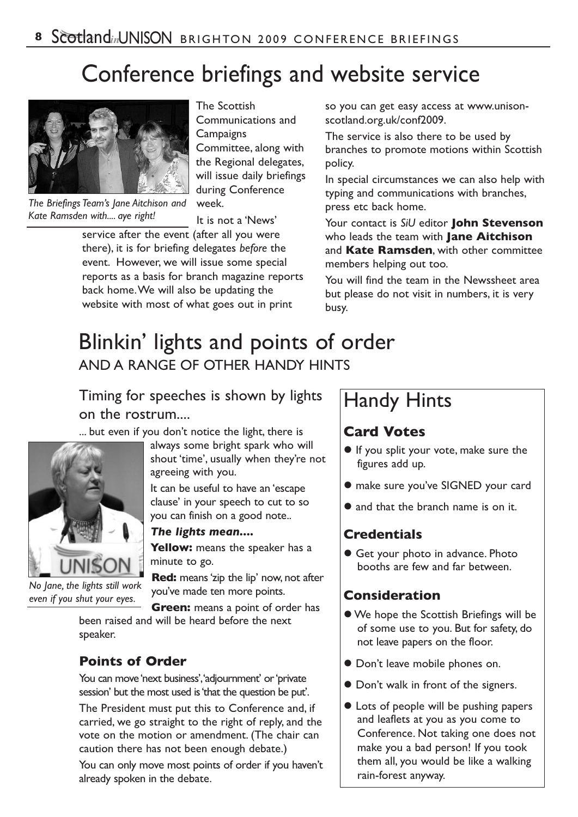# Conference briefings and website service



*The Briefings Team's Jane Aitchison and Kate Ramsden with.... aye right!*

The Scottish Communications and **Campaigns** Committee, along with the Regional delegates, will issue daily briefings during Conference week.

It is not a 'News'

service after the event (after all you were there), it is for briefing delegates *before* the event. However, we will issue some special reports as a basis for branch magazine reports back home.We will also be updating the website with most of what goes out in print

so you can get easy access at www.unisonscotland.org.uk/conf2009.

The service is also there to be used by branches to promote motions within Scottish policy.

In special circumstances we can also help with typing and communications with branches, press etc back home.

Your contact is *SiU* editor **John Stevenson** who leads the team with **Jane Aitchison** and **Kate Ramsden**, with other committee members helping out too.

You will find the team in the Newssheet area but please do not visit in numbers, it is very busy.

## Blinkin' lights and points of order AND A RANGE OF OTHER HANDY HINTS

### Timing for speeches is shown by lights on the rostrum....

... but even if you don't notice the light, there is



*No Jane, the lights still work even if you shut your eyes.*

speaker.

always some bright spark who will shout 'time', usually when they're not agreeing with you.

It can be useful to have an 'escape clause' in your speech to cut to so you can finish on a good note..

#### *The lights mean....*

Yellow: means the speaker has a minute to go.

**Red:** means 'zip the lip' now, not after you've made ten more points.

**Green:** means a point of order has been raised and will be heard before the next

## **Points of Order**

You can move 'next business', 'adjournment' or 'private session' but the most used is'that the question be put'.

The President must put this to Conference and, if carried, we go straight to the right of reply, and the vote on the motion or amendment. (The chair can caution there has not been enough debate.)

You can only move most points of order if you haven't already spoken in the debate.

## Handy Hints

#### **Card Votes**

- If you split your vote, make sure the figures add up.
- make sure you've SIGNED your card
- and that the branch name is on it.

#### **Credentials**

 Get your photo in advance. Photo booths are few and far between.

#### **Consideration**

- We hope the Scottish Briefings will be of some use to you. But for safety, do not leave papers on the floor.
- Don't leave mobile phones on.
- Don't walk in front of the signers.
- **Lots of people will be pushing papers** and leaflets at you as you come to Conference. Not taking one does not make you a bad person! If you took them all, you would be like a walking rain-forest anyway.